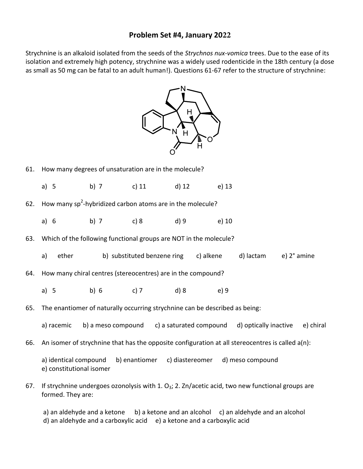## **Problem Set #4, January 2022**

Strychnine is an alkaloid isolated from the seeds of the *Strychnos nux-vomica* trees. Due to the ease of its isolation and extremely high potency, strychnine was a widely used rodenticide in the 18th century (a dose as small as 50 mg can be fatal to an adult human!). Questions 61-67 refer to the structure of strychnine:



- 61. How many degrees of unsaturation are in the molecule?
	- a) 5 b) 7 c) 11 d) 12 e) 13
- 62. How many sp<sup>2</sup>-hybridized carbon atoms are in the molecule?
	- a) 6 b) 7 c) 8 d) 9 e) 10
- 63. Which of the following functional groups are NOT in the molecule?
	- a) ether b) substituted benzene ring c) alkene d) lactam e) 2° amine
- 64. How many chiral centres (stereocentres) are in the compound?
	- a) 5 b) 6 c) 7 d) 8 e) 9
- 65. The enantiomer of naturally occurring strychnine can be described as being:
	- a) racemic b) a meso compound c) a saturated compound d) optically inactive e) chiral
- 66. An isomer of strychnine that has the opposite configuration at all stereocentres is called a(n):
	- a) identical compound b) enantiomer c) diastereomer d) meso compound e) constitutional isomer
- 67. If strychnine undergoes ozonolysis with 1.  $O_3$ ; 2. Zn/acetic acid, two new functional groups are formed. They are:

a) an aldehyde and a ketone b) a ketone and an alcohol c) an aldehyde and an alcohol  $d$ ) an aldehyde and a carboxylic acid  $e$ ) a ketone and a carboxylic acid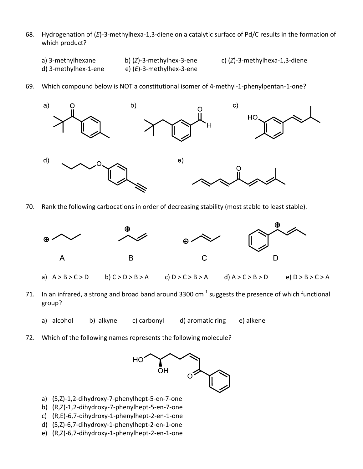- 68. Hydrogenation of (*E*)-3-methylhexa-1,3-diene on a catalytic surface of Pd/C results in the formation of which product?
	-
	- d) 3-methylhex-1-ene e) (*E*)-3-methylhex-3-ene
	- a) 3-methylhexane b) (*Z*)-3-methylhex-3-ene c) (*Z*)-3-methylhexa-1,3-diene
- 69. Which compound below is NOT a constitutional isomer of 4-methyl-1-phenylpentan-1-one?



70. Rank the following carbocations in order of decreasing stability (most stable to least stable).



- a)  $A > B > C > D$  b)  $C > D > B > A$  c)  $D > C > B > A$  d)  $A > C > B > D$  e)  $D > B > C > A$
- 71. In an infrared, a strong and broad band around 3300 cm<sup>-1</sup> suggests the presence of which functional group?
	- a) alcohol b) alkyne c) carbonyl d) aromatic ring e) alkene
- 72. Which of the following names represents the following molecule?



- a) (S,Z)-1,2-dihydroxy-7-phenylhept-5-en-7-one
- b) (R,Z)-1,2-dihydroxy-7-phenylhept-5-en-7-one
- c) (R,E)-6,7-dihydroxy-1-phenylhept-2-en-1-one
- d) (S,Z)-6,7-dihydroxy-1-phenylhept-2-en-1-one
- e) (R,Z)-6,7-dihydroxy-1-phenylhept-2-en-1-one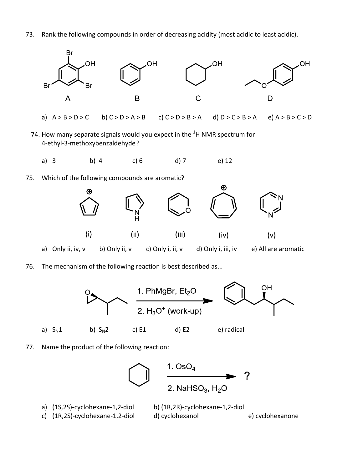73. Rank the following compounds in order of decreasing acidity (most acidic to least acidic).



- a)  $A > B > D > C$  b)  $C > D > A > B$  c)  $C > D > B > A$  d)  $D > C > B > A$  e)  $A > B > C > D$
- 74. How many separate signals would you expect in the  ${}^{1}$ H NMR spectrum for 4-ethyl-3-methoxybenzaldehyde?
	- a) 3 b) 4 c) 6 d) 7 e) 12
- 75. Which of the following compounds are aromatic?



76. The mechanism of the following reaction is best described as...



77. Name the product of the following reaction: